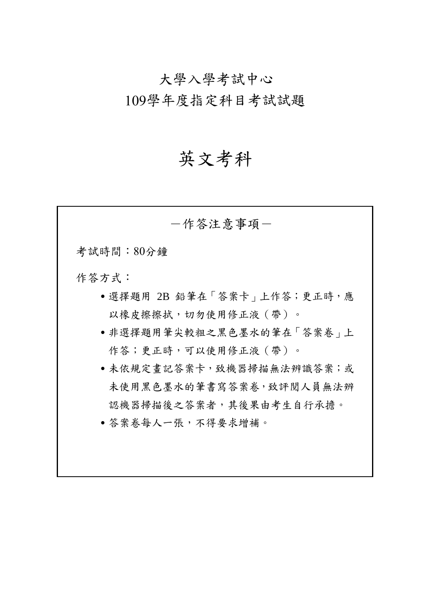## 大學入學考試中心

109學年度指定科目考試試題

## 英文考科

-作答注意事項- 考試時間:80分鐘 作答方式: ˙選擇題用 2B 鉛筆在「答案卡」上作答;更正時,應 以橡皮擦擦拭,切勿使用修正液(帶)。 • 非選擇題用筆尖較粗之黑色墨水的筆在「答案卷」上 作答;更正時,可以使用修正液(帶)。 ˙未依規定畫記答案卡,致機器掃描無法辨識答案;或 未使用黑色墨水的筆書寫答案卷,致評閱人員無法辨 認機器掃描後之答案者,其後果由考生自行承擔。 ˙答案卷每人一張,不得要求增補。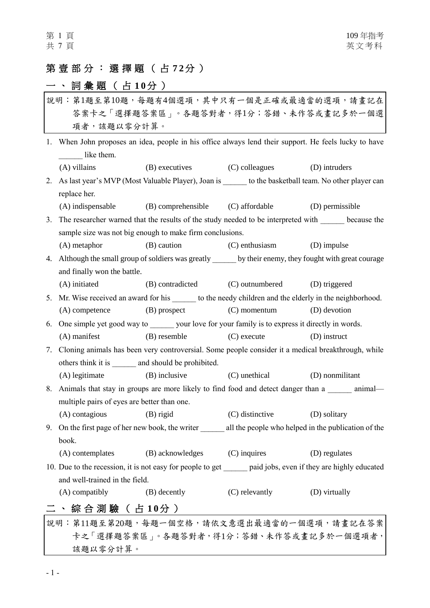## 第壹部分:選擇題 ( 占 **7 2** 分 )

# 一、詞彙 題 ( 占 **1 0** 分 )

| 說明:第1題至第10題,每題有4個選項,其中只有一個是正確或最適當的選項,請畫記在 |                                                          |                               |                                                                                                               |                 |  |
|-------------------------------------------|----------------------------------------------------------|-------------------------------|---------------------------------------------------------------------------------------------------------------|-----------------|--|
| 答案卡之「選擇題答案區」。各題答對者,得1分;答錯、未作答或畫記多於一個選     |                                                          |                               |                                                                                                               |                 |  |
|                                           | 項者,該題以零分計算。                                              |                               |                                                                                                               |                 |  |
| 1.                                        |                                                          |                               | When John proposes an idea, people in his office always lend their support. He feels lucky to have            |                 |  |
|                                           | like them.                                               |                               |                                                                                                               |                 |  |
|                                           | (A) villains                                             | (B) executives (C) colleagues |                                                                                                               | (D) intruders   |  |
|                                           |                                                          |                               | 2. As last year's MVP (Most Valuable Player), Joan is ______ to the basketball team. No other player can      |                 |  |
|                                           | replace her.                                             |                               |                                                                                                               |                 |  |
|                                           | (A) indispensable                                        |                               | (B) comprehensible (C) affordable                                                                             | (D) permissible |  |
| 3.                                        |                                                          |                               | The researcher warned that the results of the study needed to be interpreted with ______ because the          |                 |  |
|                                           | sample size was not big enough to make firm conclusions. |                               |                                                                                                               |                 |  |
|                                           | (A) metaphor                                             | (B) caution                   | $(C)$ enthusiasm                                                                                              | (D) impulse     |  |
|                                           |                                                          |                               | 4. Although the small group of soldiers was greatly ______ by their enemy, they fought with great courage     |                 |  |
|                                           | and finally won the battle.                              |                               |                                                                                                               |                 |  |
|                                           | (A) initiated                                            | (B) contradicted              | (C) outnumbered                                                                                               | (D) triggered   |  |
| 5.                                        |                                                          |                               | Mr. Wise received an award for his _______ to the needy children and the elderly in the neighborhood.         |                 |  |
|                                           | (A) competence                                           | (B) prospect                  | $(C)$ momentum                                                                                                | (D) devotion    |  |
| 6.                                        |                                                          |                               | One simple yet good way to _______ your love for your family is to express it directly in words.              |                 |  |
|                                           | (A) manifest                                             | (B) resemble                  | $(C)$ execute                                                                                                 | (D) instruct    |  |
| 7.                                        |                                                          |                               | Cloning animals has been very controversial. Some people consider it a medical breakthrough, while            |                 |  |
|                                           | others think it is _______ and should be prohibited.     |                               |                                                                                                               |                 |  |
|                                           | (A) legitimate                                           | (B) inclusive                 | (C) unethical                                                                                                 | (D) nonmilitant |  |
|                                           |                                                          |                               | 8. Animals that stay in groups are more likely to find food and detect danger than a ______ animal-           |                 |  |
|                                           | multiple pairs of eyes are better than one.              |                               |                                                                                                               |                 |  |
|                                           | (A) contagious                                           | (B) rigid                     | $(C)$ distinctive                                                                                             | (D) solitary    |  |
|                                           |                                                          |                               | 9. On the first page of her new book, the writer all the people who helped in the publication of the          |                 |  |
|                                           | book.                                                    |                               |                                                                                                               |                 |  |
|                                           | (A) contemplates                                         | (B) acknowledges (C) inquires |                                                                                                               | (D) regulates   |  |
|                                           |                                                          |                               | 10. Due to the recession, it is not easy for people to get ______ paid jobs, even if they are highly educated |                 |  |
|                                           | and well-trained in the field.                           |                               |                                                                                                               |                 |  |
|                                           | (A) compatibly                                           | (B) decently                  | (C) relevantly                                                                                                | (D) virtually   |  |
|                                           | 、 綜 合 測 驗 ( 占 10分 )                                      |                               |                                                                                                               |                 |  |
| 說明:第11題至第20題,每題一個空格,請依文意選出最適當的一個選項,請畫記在答案 |                                                          |                               |                                                                                                               |                 |  |
| 卡之「選擇題答案區」。各題答對者,得1分;答錯、未作答或畫記多於一個選項者,    |                                                          |                               |                                                                                                               |                 |  |
|                                           | 該題以零分計算。                                                 |                               |                                                                                                               |                 |  |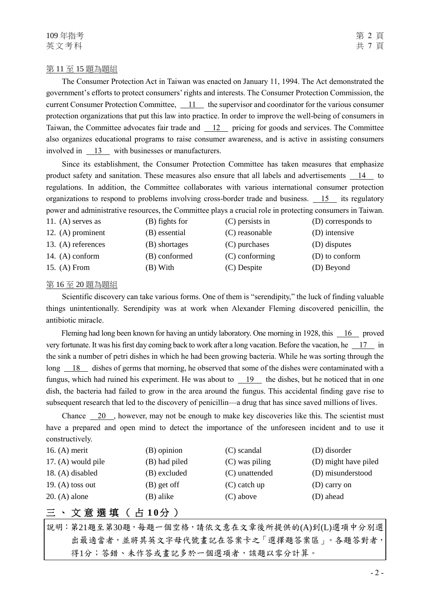#### 第 11 至 15 題為題組

The Consumer Protection Act in Taiwan was enacted on January 11, 1994. The Act demonstrated the government's efforts to protect consumers' rights and interests. The Consumer Protection Commission, the current Consumer Protection Committee, 11 the supervisor and coordinator for the various consumer protection organizations that put this law into practice. In order to improve the well-being of consumers in Taiwan, the Committee advocates fair trade and  $12$  pricing for goods and services. The Committee also organizes educational programs to raise consumer awareness, and is active in assisting consumers involved in 13 with businesses or manufacturers.

Since its establishment, the Consumer Protection Committee has taken measures that emphasize product safety and sanitation. These measures also ensure that all labels and advertisements 14 to regulations. In addition, the Committee collaborates with various international consumer protection organizations to respond to problems involving cross-border trade and business. 15 its regulatory power and administrative resources, the Committee plays a crucial role in protecting consumers in Taiwan.

| 11. (A) serves as   | $(B)$ fights for | (C) persists in  | (D) corresponds to |
|---------------------|------------------|------------------|--------------------|
| 12. $(A)$ prominent | (B) essential    | (C) reasonable   | (D) intensive      |
| 13. (A) references  | (B) shortages    | (C) purchases    | (D) disputes       |
| 14. $(A)$ conform   | (B) conformed    | $(C)$ conforming | (D) to conform     |
| 15. $(A)$ From      | (B) With         | $(C)$ Despite    | (D) Beyond         |

#### 第 16 至 20 題為題組

Scientific discovery can take various forms. One of them is "serendipity," the luck of finding valuable things unintentionally. Serendipity was at work when Alexander Fleming discovered penicillin, the antibiotic miracle.

Fleming had long been known for having an untidy laboratory. One morning in 1928, this 16 proved very fortunate. It was his first day coming back to work after a long vacation. Before the vacation, he 17 in the sink a number of petri dishes in which he had been growing bacteria. While he was sorting through the long 18 dishes of germs that morning, he observed that some of the dishes were contaminated with a fungus, which had ruined his experiment. He was about to 19 the dishes, but he noticed that in one dish, the bacteria had failed to grow in the area around the fungus. This accidental finding gave rise to subsequent research that led to the discovery of penicillin—a drug that has since saved millions of lives.

Chance 20 , however, may not be enough to make key discoveries like this. The scientist must have a prepared and open mind to detect the importance of the unforeseen incident and to use it constructively.

| (B) opinion   | (C) scandal    | (D) disorder         |
|---------------|----------------|----------------------|
| (B) had piled | (C) was piling | (D) might have piled |
| (B) excluded  | (C) unattended | (D) misunderstood    |
| $(B)$ get off | $(C)$ catch up | (D) carry on         |
| (B) alike     | $(C)$ above    | (D) ahead            |
|               |                |                      |

## 三、文意選填 ( 占 **1 0**分 )

說明:第21題至第30題,每題一個空格,請依文意在文章後所提供的(A)到(L)選項中分別選 出最適當者,並將其英文字母代號畫記在答案卡之「選擇題答案區」。各題答對者, 得1分;答錯、未作答或畫記多於一個選項者,該題以零分計算。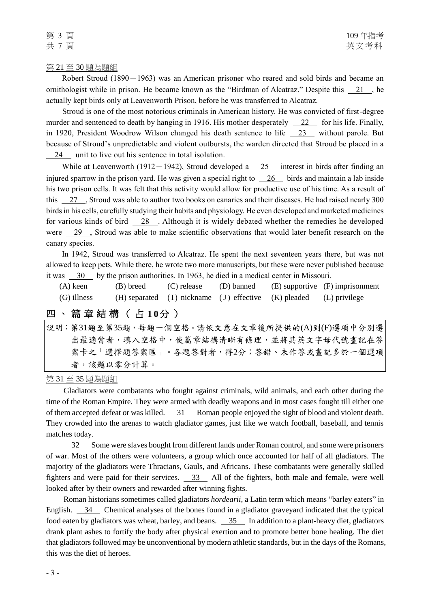#### 第 21 至 30 題為題組

Robert Stroud  $(1890-1963)$  was an American prisoner who reared and sold birds and became an ornithologist while in prison. He became known as the "Birdman of Alcatraz." Despite this  $\frac{21}{10}$ , he actually kept birds only at Leavenworth Prison, before he was transferred to Alcatraz.

Stroud is one of the most notorious criminals in American history. He was convicted of first-degree murder and sentenced to death by hanging in 1916. His mother desperately  $\frac{22}{\pi}$  for his life. Finally, in 1920, President Woodrow Wilson changed his death sentence to life 23 without parole. But because of Stroud's unpredictable and violent outbursts, the warden directed that Stroud be placed in a 24 unit to live out his sentence in total isolation.

While at Leavenworth (1912-1942), Stroud developed a  $\overline{25}$  interest in birds after finding an injured sparrow in the prison yard. He was given a special right to  $\frac{26}{100}$  birds and maintain a lab inside his two prison cells. It was felt that this activity would allow for productive use of his time. As a result of this 27 , Stroud was able to author two books on canaries and their diseases. He had raised nearly 300 birds in his cells, carefully studying their habits and physiology. He even developed and marketed medicines for various kinds of bird 28 . Although it is widely debated whether the remedies he developed were 29, Stroud was able to make scientific observations that would later benefit research on the canary species.

In 1942, Stroud was transferred to Alcatraz. He spent the next seventeen years there, but was not allowed to keep pets. While there, he wrote two more manuscripts, but these were never published because it was 30 by the prison authorities. In 1963, he died in a medical center in Missouri.

(A) keen (B) breed (C) release (D) banned (E) supportive (F) imprisonment (G) illness (H) separated (I) nickname (J) effective (K) pleaded (L) privilege

## 四、篇章結構 ( 占 **1 0**分 )

說明:第31題至第35題,每題一個空格。請依文意在文章後所提供的(A)到(F)選項中分別選 出最適當者,填入空格中,使篇章結構清晰有條理,並將其英文字母代號畫記在答 案卡之「選擇題答案區」。各題答對者,得2分;答錯、未作答或畫記多於一個選項 者,該題以零分計算。

第 31 至 35 題為題組

Gladiators were combatants who fought against criminals, wild animals, and each other during the time of the Roman Empire. They were armed with deadly weapons and in most cases fought till either one of them accepted defeat or was killed. 31 Roman people enjoyed the sight of blood and violent death. They crowded into the arenas to watch gladiator games, just like we watch football, baseball, and tennis matches today.

32 Some were slaves bought from different lands under Roman control, and some were prisoners of war. Most of the others were volunteers, a group which once accounted for half of all gladiators. The majority of the gladiators were Thracians, Gauls, and Africans. These combatants were generally skilled fighters and were paid for their services. 33 All of the fighters, both male and female, were well looked after by their owners and rewarded after winning fights.

Roman historians sometimes called gladiators *hordearii*, a Latin term which means "barley eaters" in English. 34 Chemical analyses of the bones found in a gladiator graveyard indicated that the typical food eaten by gladiators was wheat, barley, and beans. 35 In addition to a plant-heavy diet, gladiators drank plant ashes to fortify the body after physical exertion and to promote better bone healing. The diet that gladiators followed may be unconventional by modern athletic standards, but in the days of the Romans, this was the diet of heroes.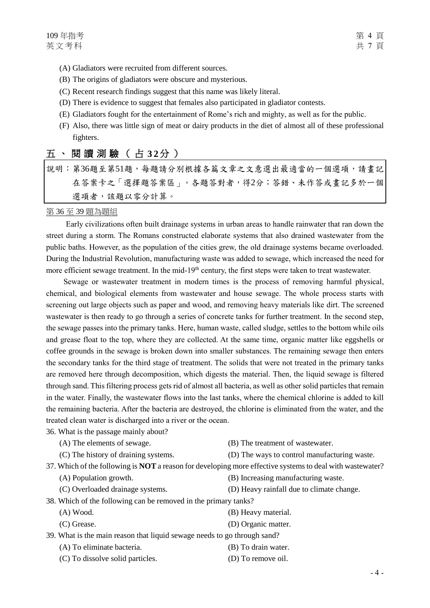- (A) Gladiators were recruited from different sources.
- (B) The origins of gladiators were obscure and mysterious.
- (C) Recent research findings suggest that this name was likely literal.
- (D) There is evidence to suggest that females also participated in gladiator contests.
- (E) Gladiators fought for the entertainment of Rome's rich and mighty, as well as for the public.
- (F) Also, there was little sign of meat or dairy products in the diet of almost all of these professional fighters.

## 五、閱讀測驗 ( 占 **3 2**分 )

說明︰第36題至第51題,每題請分別根據各篇文章之文意選出最適當的一個選項,請畫記 在答案卡之「選擇題答案區」。各題答對者,得2分;答錯、未作答或畫記多於一個 選項者,該題以零分計算。

#### 第 36 至 39 題為題組

Early civilizations often built drainage systems in urban areas to handle rainwater that ran down the street during a storm. The Romans constructed elaborate systems that also drained wastewater from the public baths. However, as the population of the cities grew, the old drainage systems became overloaded. During the Industrial Revolution, manufacturing waste was added to sewage, which increased the need for more efficient sewage treatment. In the mid-19<sup>th</sup> century, the first steps were taken to treat wastewater.

Sewage or wastewater treatment in modern times is the process of removing harmful physical, chemical, and biological elements from wastewater and house sewage. The whole process starts with screening out large objects such as paper and wood, and removing heavy materials like dirt. The screened wastewater is then ready to go through a series of concrete tanks for further treatment. In the second step, the sewage passes into the primary tanks. Here, human waste, called sludge, settles to the bottom while oils and grease float to the top, where they are collected. At the same time, organic matter like eggshells or coffee grounds in the sewage is broken down into smaller substances. The remaining sewage then enters the secondary tanks for the third stage of treatment. The solids that were not treated in the primary tanks are removed here through decomposition, which digests the material. Then, the liquid sewage is filtered through sand. This filtering process gets rid of almost all bacteria, as well as other solid particles that remain in the water. Finally, the wastewater flows into the last tanks, where the chemical chlorine is added to kill the remaining bacteria. After the bacteria are destroyed, the chlorine is eliminated from the water, and the treated clean water is discharged into a river or the ocean.

36. What is the passage mainly about?

|  | (A) The elements of sewage.                                                                                      | (B) The treatment of wastewater.             |  |
|--|------------------------------------------------------------------------------------------------------------------|----------------------------------------------|--|
|  | (C) The history of draining systems.                                                                             | (D) The ways to control manufacturing waste. |  |
|  | 37. Which of the following is <b>NOT</b> a reason for developing more effective systems to deal with wastewater? |                                              |  |
|  | (A) Population growth.                                                                                           | (B) Increasing manufacturing waste.          |  |
|  | (C) Overloaded drainage systems.                                                                                 | (D) Heavy rainfall due to climate change.    |  |
|  | 38. Which of the following can be removed in the primary tanks?                                                  |                                              |  |
|  | $(A)$ Wood.                                                                                                      | (B) Heavy material.                          |  |
|  | $(C)$ Grease.                                                                                                    | (D) Organic matter.                          |  |
|  | 39. What is the main reason that liquid sewage needs to go through sand?                                         |                                              |  |
|  | (A) To eliminate bacteria.                                                                                       | (B) To drain water.                          |  |
|  | (C) To dissolve solid particles.                                                                                 | (D) To remove oil.                           |  |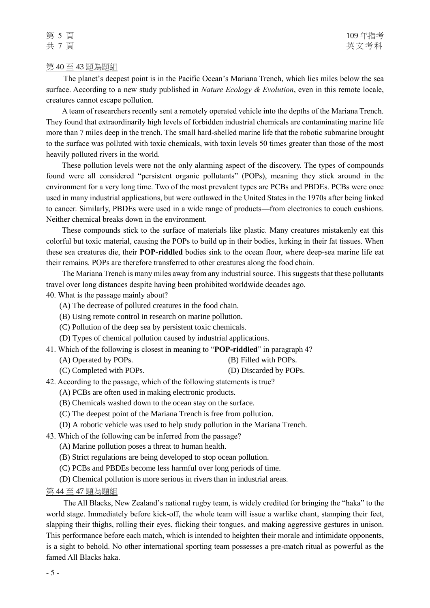### 第 40 至 43 題為題組

The planet's deepest point is in the Pacific Ocean's Mariana Trench, which lies miles below the sea surface. According to a new study published in *Nature Ecology & Evolution*, even in this remote locale, creatures cannot escape pollution.

A team of researchers recently sent a remotely operated vehicle into the depths of the Mariana Trench. They found that extraordinarily high levels of forbidden industrial chemicals are contaminating marine life more than 7 miles deep in the trench. The small hard-shelled marine life that the robotic submarine brought to the surface was polluted with toxic chemicals, with toxin levels 50 times greater than those of the most heavily polluted rivers in the world.

These pollution levels were not the only alarming aspect of the discovery. The types of compounds found were all considered "persistent organic pollutants" (POPs), meaning they stick around in the environment for a very long time. Two of the most prevalent types are PCBs and PBDEs. PCBs were once used in many industrial applications, but were outlawed in the United States in the 1970s after being linked to cancer. Similarly, PBDEs were used in a wide range of products—from electronics to couch cushions. Neither chemical breaks down in the environment.

These compounds stick to the surface of materials like plastic. Many creatures mistakenly eat this colorful but toxic material, causing the POPs to build up in their bodies, lurking in their fat tissues. When these sea creatures die, their **POP-riddled** bodies sink to the ocean floor, where deep-sea marine life eat their remains. POPs are therefore transferred to other creatures along the food chain.

The Mariana Trench is many miles away from any industrial source. This suggests that these pollutants travel over long distances despite having been prohibited worldwide decades ago.

40. What is the passage mainly about?

- (A) The decrease of polluted creatures in the food chain.
- (B) Using remote control in research on marine pollution.
- (C) Pollution of the deep sea by persistent toxic chemicals.
- (D) Types of chemical pollution caused by industrial applications.
- 41. Which of the following is closest in meaning to "**POP-riddled**" in paragraph 4?
	- (A) Operated by POPs. (B) Filled with POPs.
	- (C) Completed with POPs. (D) Discarded by POPs.
- -
- 
- 42. According to the passage, which of the following statements is true?
	- (A) PCBs are often used in making electronic products.
	- (B) Chemicals washed down to the ocean stay on the surface.
	- (C) The deepest point of the Mariana Trench is free from pollution.
	- (D) A robotic vehicle was used to help study pollution in the Mariana Trench.
- 43. Which of the following can be inferred from the passage?
	- (A) Marine pollution poses a threat to human health.
	- (B) Strict regulations are being developed to stop ocean pollution.
	- (C) PCBs and PBDEs become less harmful over long periods of time.
	- (D) Chemical pollution is more serious in rivers than in industrial areas.

### 第 44 至 47 題為題組

The All Blacks, New Zealand's national rugby team, is widely credited for bringing the "haka" to the world stage. Immediately before kick-off, the whole team will issue a warlike chant, stamping their feet, slapping their thighs, rolling their eyes, flicking their tongues, and making aggressive gestures in unison. This performance before each match, which is intended to heighten their morale and intimidate opponents, is a sight to behold. No other international sporting team possesses a pre-match ritual as powerful as the famed All Blacks haka.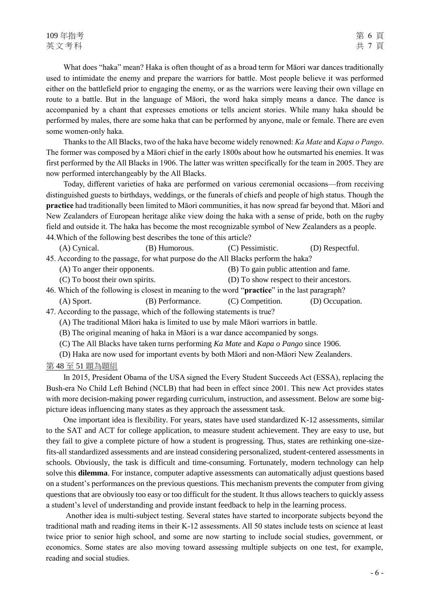What does "haka" mean? Haka is often thought of as a broad term for Māori war dances traditionally used to intimidate the enemy and prepare the warriors for battle. Most people believe it was performed either on the battlefield prior to engaging the enemy, or as the warriors were leaving their own village en route to a battle. But in the language of Māori, the word haka simply means a dance. The dance is accompanied by a chant that expresses emotions or tells ancient stories. While many haka should be performed by males, there are some haka that can be performed by anyone, male or female. There are even some women-only haka.

Thanks to the All Blacks, two of the haka have become widely renowned: *Ka Mate* and *Kapa o Pango*. The former was composed by a Māori chief in the early 1800s about how he outsmarted his enemies. It was first performed by the All Blacks in 1906. The latter was written specifically for the team in 2005. They are now performed interchangeably by the All Blacks.

Today, different varieties of haka are performed on various ceremonial occasions—from receiving distinguished guests to birthdays, weddings, or the funerals of chiefs and people of high status. Though the **practice** had traditionally been limited to Māori communities, it has now spread far beyond that. Māori and New Zealanders of European heritage alike view doing the haka with a sense of pride, both on the rugby field and outside it. The haka has become the most recognizable symbol of New Zealanders as a people. 44.Which of the following best describes the tone of this article?

| (A) Cynical.                                                                                            | (B) Humorous.    | (C) Pessimistic.                        | (D) Respectful. |
|---------------------------------------------------------------------------------------------------------|------------------|-----------------------------------------|-----------------|
| 45. According to the passage, for what purpose do the All Blacks perform the haka?                      |                  |                                         |                 |
| (A) To anger their opponents.                                                                           |                  | (B) To gain public attention and fame.  |                 |
| (C) To boost their own spirits.                                                                         |                  | (D) To show respect to their ancestors. |                 |
| 46. Which of the following is closest in meaning to the word " <b>practice</b> " in the last paragraph? |                  |                                         |                 |
| (A) Sport.                                                                                              | (B) Performance. | (C) Competition.                        | (D) Occupation. |

- 47. According to the passage, which of the following statements is true?
	- (A) The traditional Māori haka is limited to use by male Māori warriors in battle.
	- (B) The original meaning of haka in Māori is a war dance accompanied by songs.
	- (C) The All Blacks have taken turns performing *Ka Mate* and *Kapa o Pango* since 1906.
	- (D) Haka are now used for important events by both Māori and non-Māori New Zealanders.

#### 第 48 至 51 題為題組

In 2015, President Obama of the USA signed the Every Student Succeeds Act (ESSA), replacing the Bush-era No Child Left Behind (NCLB) that had been in effect since 2001. This new Act provides states with more decision-making power regarding curriculum, instruction, and assessment. Below are some bigpicture ideas influencing many states as they approach the assessment task.

One important idea is flexibility. For years, states have used standardized K-12 assessments, similar to the SAT and ACT for college application, to measure student achievement. They are easy to use, but they fail to give a complete picture of how a student is progressing. Thus, states are rethinking one-sizefits-all standardized assessments and are instead considering personalized, student-centered assessments in schools. Obviously, the task is difficult and time-consuming. Fortunately, modern technology can help solve this **dilemma**. For instance, computer adaptive assessments can automatically adjust questions based on a student's performances on the previous questions. This mechanism prevents the computer from giving questions that are obviously too easy or too difficult for the student. It thus allows teachers to quickly assess a student's level of understanding and provide instant feedback to help in the learning process.

Another idea is multi-subject testing. Several states have started to incorporate subjects beyond the traditional math and reading items in their K-12 assessments. All 50 states include tests on science at least twice prior to senior high school, and some are now starting to include social studies, government, or economics. Some states are also moving toward assessing multiple subjects on one test, for example, reading and social studies.